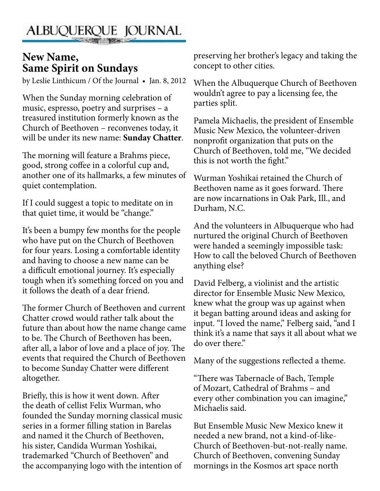## ALBUQUERQUE JOURNAL

## **New Name, Same Spirit on Sundays**

by Leslie Linthicum / Of the Journal • Jan. 8, 2012

When the Sunday morning celebration of music, espresso, poetry and surprises – a treasured institution formerly known as the Church of Beethoven – reconvenes today, it will be under its new name: **Sunday Chatter**.

The morning will feature a Brahms piece, good, strong coffee in a colorful cup and, another one of its hallmarks, a few minutes of quiet contemplation.

If I could suggest a topic to meditate on in that quiet time, it would be "change."

It's been a bumpy few months for the people who have put on the Church of Beethoven for four years. Losing a comfortable identity and having to choose a new name can be a difficult emotional journey. It's especially tough when it's something forced on you and it follows the death of a dear friend.

The former Church of Beethoven and current Chatter crowd would rather talk about the future than about how the name change came to be. The Church of Beethoven has been, after all, a labor of love and a place of joy. The events that required the Church of Beethoven to become Sunday Chatter were different altogether.

Briefly, this is how it went down. After the death of cellist Felix Wurman, who founded the Sunday morning classical music series in a former filling station in Barelas and named it the Church of Beethoven, his sister, Candida Wurman Yoshikai, trademarked "Church of Beethoven" and the accompanying logo with the intention of

preserving her brother's legacy and taking the concept to other cities.

When the Albuquerque Church of Beethoven wouldn't agree to pay a licensing fee, the parties split.

Pamela Michaelis, the president of Ensemble Music New Mexico, the volunteer-driven nonprofit organization that puts on the Church of Beethoven, told me, "We decided this is not worth the fight."

Wurman Yoshikai retained the Church of Beethoven name as it goes forward. There are now incarnations in Oak Park, Ill., and Durham, N.C.

And the volunteers in Albuquerque who had nurtured the original Church of Beethoven were handed a seemingly impossible task: How to call the beloved Church of Beethoven anything else?

David Felberg, a violinist and the artistic director for Ensemble Music New Mexico, knew what the group was up against when it began batting around ideas and asking for input. "I loved the name," Felberg said, "and I think it's a name that says it all about what we do over there."

Many of the suggestions reflected a theme.

"There was Tabernacle of Bach, Temple of Mozart, Cathedral of Brahms – and every other combination you can imagine," Michaelis said.

But Ensemble Music New Mexico knew it needed a new brand, not a kind-of-like-Church of Beethoven-but-not-really name. Church of Beethoven, convening Sunday mornings in the Kosmos art space north